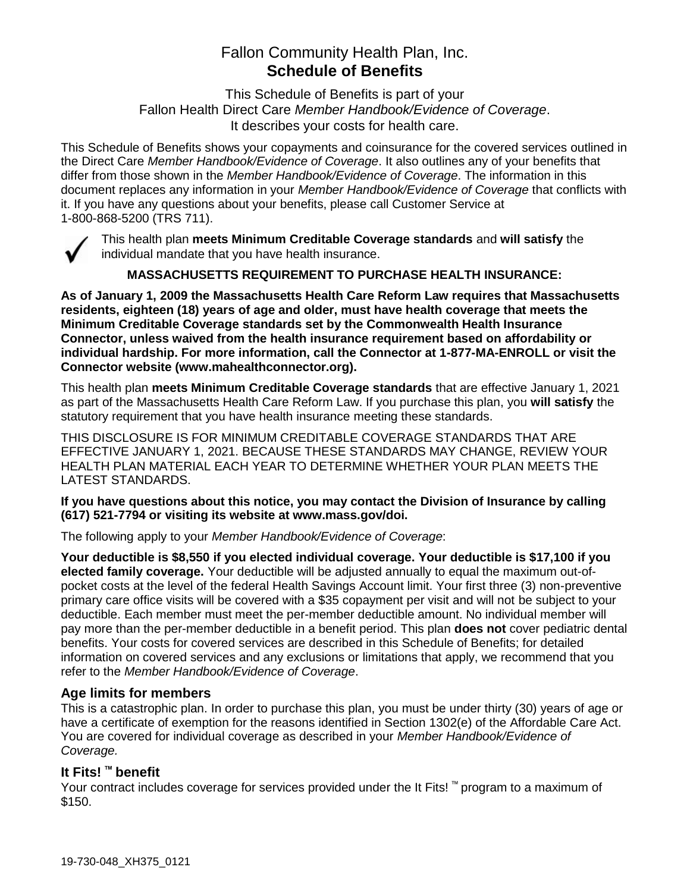# Fallon Community Health Plan, Inc. **Schedule of Benefits**

This Schedule of Benefits is part of your Fallon Health Direct Care *Member Handbook/Evidence of Coverage*. It describes your costs for health care.

This Schedule of Benefits shows your copayments and coinsurance for the covered services outlined in the Direct Care *Member Handbook/Evidence of Coverage*. It also outlines any of your benefits that differ from those shown in the *Member Handbook/Evidence of Coverage*. The information in this document replaces any information in your *Member Handbook/Evidence of Coverage* that conflicts with it. If you have any questions about your benefits, please call Customer Service at 1-800-868-5200 (TRS 711).



This health plan **meets Minimum Creditable Coverage standards** and **will satisfy** the individual mandate that you have health insurance.

**MASSACHUSETTS REQUIREMENT TO PURCHASE HEALTH INSURANCE:**

**As of January 1, 2009 the Massachusetts Health Care Reform Law requires that Massachusetts residents, eighteen (18) years of age and older, must have health coverage that meets the Minimum Creditable Coverage standards set by the Commonwealth Health Insurance Connector, unless waived from the health insurance requirement based on affordability or individual hardship. For more information, call the Connector at 1-877-MA-ENROLL or visit the Connector website (www.mahealthconnector.org).**

This health plan **meets Minimum Creditable Coverage standards** that are effective January 1, 2021 as part of the Massachusetts Health Care Reform Law. If you purchase this plan, you **will satisfy** the statutory requirement that you have health insurance meeting these standards.

THIS DISCLOSURE IS FOR MINIMUM CREDITABLE COVERAGE STANDARDS THAT ARE EFFECTIVE JANUARY 1, 2021. BECAUSE THESE STANDARDS MAY CHANGE, REVIEW YOUR HEALTH PLAN MATERIAL EACH YEAR TO DETERMINE WHETHER YOUR PLAN MEETS THE LATEST STANDARDS.

**If you have questions about this notice, you may contact the Division of Insurance by calling (617) 521-7794 or visiting its website at www.mass.gov/doi.** 

The following apply to your *Member Handbook/Evidence of Coverage*:

**Your deductible is \$8,550 if you elected individual coverage. Your deductible is \$17,100 if you elected family coverage.** Your deductible will be adjusted annually to equal the maximum out-ofpocket costs at the level of the federal Health Savings Account limit. Your first three (3) non-preventive primary care office visits will be covered with a \$35 copayment per visit and will not be subject to your deductible. Each member must meet the per-member deductible amount. No individual member will pay more than the per-member deductible in a benefit period. This plan **does not** cover pediatric dental benefits. Your costs for covered services are described in this Schedule of Benefits; for detailed information on covered services and any exclusions or limitations that apply, we recommend that you refer to the *Member Handbook/Evidence of Coverage*.

# **Age limits for members**

This is a catastrophic plan. In order to purchase this plan, you must be under thirty (30) years of age or have a certificate of exemption for the reasons identified in Section 1302(e) of the Affordable Care Act. You are covered for individual coverage as described in your *Member Handbook/Evidence of Coverage.*

# **It Fits! ™ benefit**

Your contract includes coverage for services provided under the It Fits! ™ program to a maximum of \$150.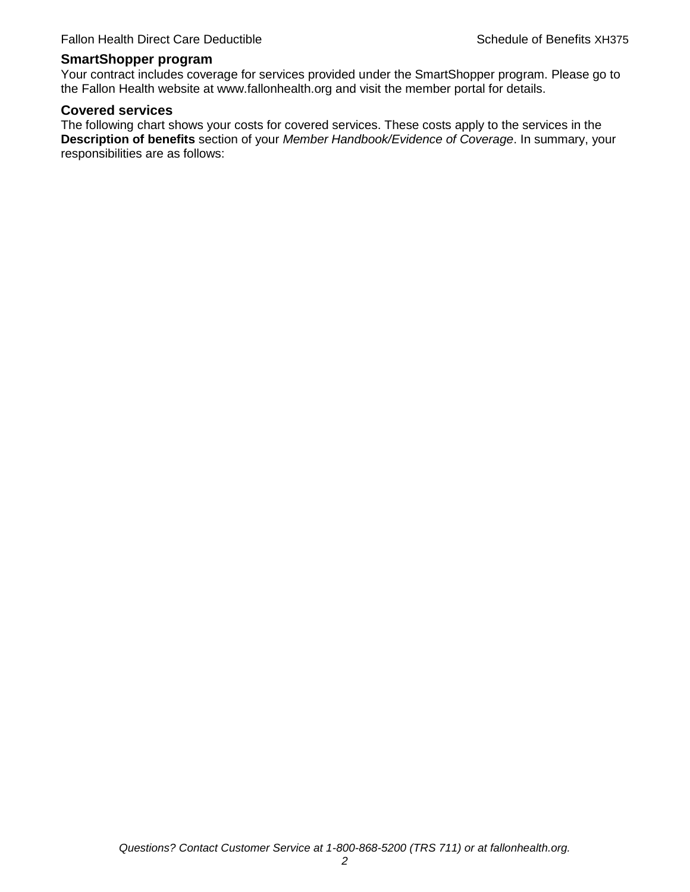#### **SmartShopper program**

Your contract includes coverage for services provided under the SmartShopper program. Please go to the Fallon Health website at www.fallonhealth.org and visit the member portal for details.

#### **Covered services**

The following chart shows your costs for covered services. These costs apply to the services in the **Description of benefits** section of your *Member Handbook/Evidence of Coverage*. In summary, your responsibilities are as follows: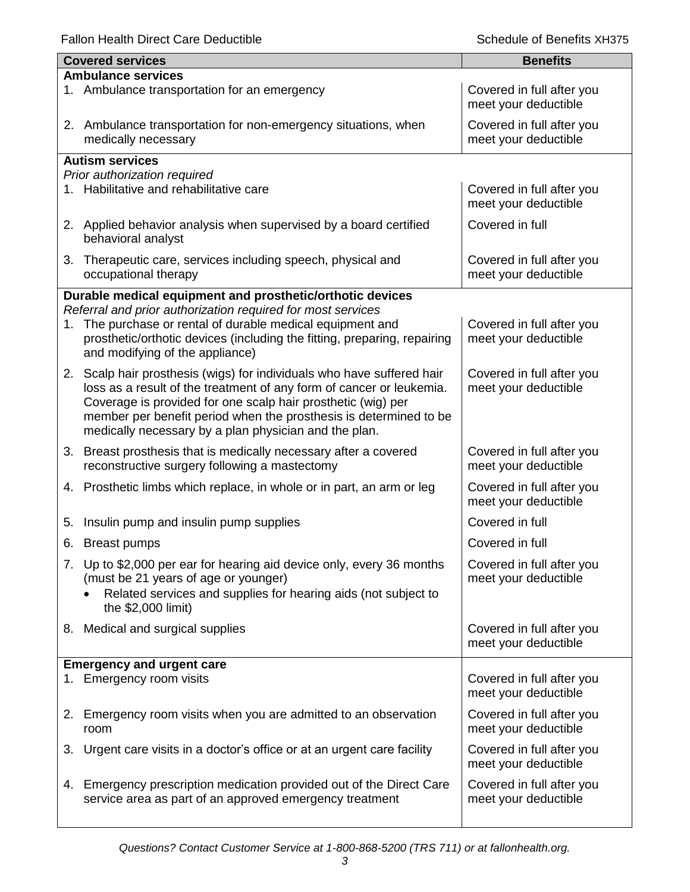Fallon Health Direct Care Deductible **Schedule of Benefits XH375** Schedule of Benefits XH375

|    | <b>Covered services</b>                                                                                                      | <b>Benefits</b>                                   |
|----|------------------------------------------------------------------------------------------------------------------------------|---------------------------------------------------|
|    | <b>Ambulance services</b>                                                                                                    |                                                   |
|    | 1. Ambulance transportation for an emergency                                                                                 | Covered in full after you<br>meet your deductible |
|    | 2. Ambulance transportation for non-emergency situations, when<br>medically necessary                                        | Covered in full after you<br>meet your deductible |
|    | <b>Autism services</b>                                                                                                       |                                                   |
|    | Prior authorization required                                                                                                 |                                                   |
|    | 1. Habilitative and rehabilitative care                                                                                      | Covered in full after you<br>meet your deductible |
|    | 2. Applied behavior analysis when supervised by a board certified<br>behavioral analyst                                      | Covered in full                                   |
| 3. | Therapeutic care, services including speech, physical and<br>occupational therapy                                            | Covered in full after you<br>meet your deductible |
|    | Durable medical equipment and prosthetic/orthotic devices                                                                    |                                                   |
|    | Referral and prior authorization required for most services                                                                  |                                                   |
| 1. | The purchase or rental of durable medical equipment and                                                                      | Covered in full after you                         |
|    | prosthetic/orthotic devices (including the fitting, preparing, repairing<br>and modifying of the appliance)                  | meet your deductible                              |
|    | 2. Scalp hair prosthesis (wigs) for individuals who have suffered hair                                                       | Covered in full after you                         |
|    | loss as a result of the treatment of any form of cancer or leukemia.                                                         | meet your deductible                              |
|    | Coverage is provided for one scalp hair prosthetic (wig) per                                                                 |                                                   |
|    | member per benefit period when the prosthesis is determined to be<br>medically necessary by a plan physician and the plan.   |                                                   |
|    | 3. Breast prosthesis that is medically necessary after a covered<br>reconstructive surgery following a mastectomy            | Covered in full after you<br>meet your deductible |
| 4. | Prosthetic limbs which replace, in whole or in part, an arm or leg                                                           | Covered in full after you<br>meet your deductible |
| 5. | Insulin pump and insulin pump supplies                                                                                       | Covered in full                                   |
| 6. | <b>Breast pumps</b>                                                                                                          | Covered in full                                   |
|    | 7. Up to \$2,000 per ear for hearing aid device only, every 36 months                                                        | Covered in full after you                         |
|    | (must be 21 years of age or younger)                                                                                         | meet your deductible                              |
|    | Related services and supplies for hearing aids (not subject to                                                               |                                                   |
|    | the \$2,000 limit)                                                                                                           |                                                   |
|    | 8. Medical and surgical supplies                                                                                             | Covered in full after you                         |
|    |                                                                                                                              | meet your deductible                              |
|    | <b>Emergency and urgent care</b>                                                                                             |                                                   |
| 1. | Emergency room visits                                                                                                        | Covered in full after you<br>meet your deductible |
| 2. | Emergency room visits when you are admitted to an observation<br>room                                                        | Covered in full after you<br>meet your deductible |
| 3. | Urgent care visits in a doctor's office or at an urgent care facility                                                        | Covered in full after you<br>meet your deductible |
| 4. | Emergency prescription medication provided out of the Direct Care<br>service area as part of an approved emergency treatment | Covered in full after you<br>meet your deductible |
|    |                                                                                                                              |                                                   |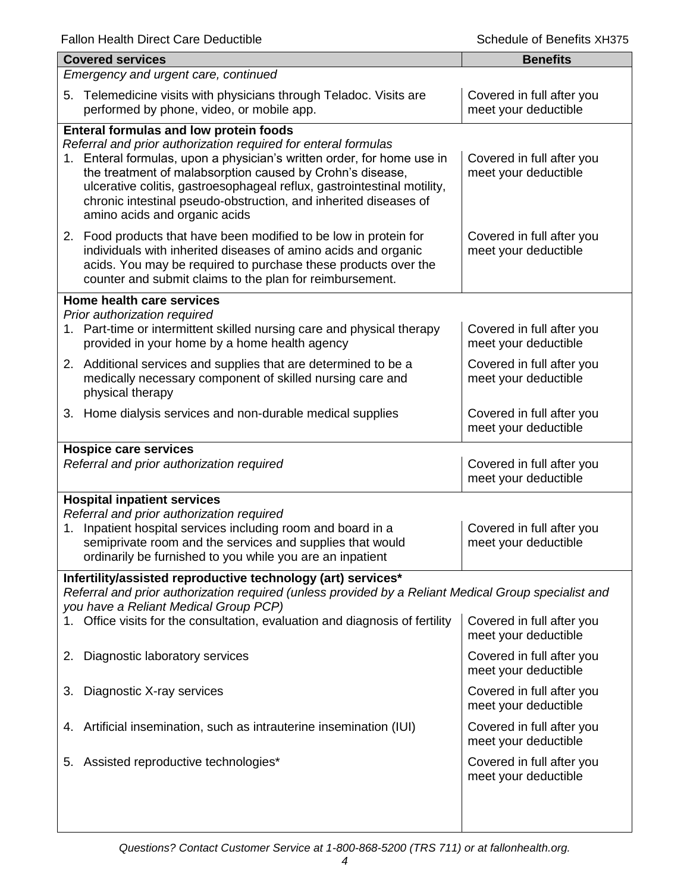| <b>Covered services</b>                                                                                                                                                                                                                                                                                                                                                                                                                |  | <b>Benefits</b>                                   |  |
|----------------------------------------------------------------------------------------------------------------------------------------------------------------------------------------------------------------------------------------------------------------------------------------------------------------------------------------------------------------------------------------------------------------------------------------|--|---------------------------------------------------|--|
| Emergency and urgent care, continued                                                                                                                                                                                                                                                                                                                                                                                                   |  |                                                   |  |
| Telemedicine visits with physicians through Teladoc. Visits are<br>5.<br>performed by phone, video, or mobile app.                                                                                                                                                                                                                                                                                                                     |  | Covered in full after you<br>meet your deductible |  |
| <b>Enteral formulas and low protein foods</b><br>Referral and prior authorization required for enteral formulas<br>1. Enteral formulas, upon a physician's written order, for home use in<br>the treatment of malabsorption caused by Crohn's disease,<br>ulcerative colitis, gastroesophageal reflux, gastrointestinal motility,<br>chronic intestinal pseudo-obstruction, and inherited diseases of<br>amino acids and organic acids |  | Covered in full after you<br>meet your deductible |  |
| 2. Food products that have been modified to be low in protein for<br>individuals with inherited diseases of amino acids and organic<br>acids. You may be required to purchase these products over the<br>counter and submit claims to the plan for reimbursement.                                                                                                                                                                      |  | Covered in full after you<br>meet your deductible |  |
| Home health care services                                                                                                                                                                                                                                                                                                                                                                                                              |  |                                                   |  |
| Prior authorization required<br>1. Part-time or intermittent skilled nursing care and physical therapy<br>provided in your home by a home health agency                                                                                                                                                                                                                                                                                |  | Covered in full after you<br>meet your deductible |  |
| 2. Additional services and supplies that are determined to be a<br>medically necessary component of skilled nursing care and<br>physical therapy                                                                                                                                                                                                                                                                                       |  | Covered in full after you<br>meet your deductible |  |
| 3. Home dialysis services and non-durable medical supplies                                                                                                                                                                                                                                                                                                                                                                             |  | Covered in full after you<br>meet your deductible |  |
| <b>Hospice care services</b><br>Referral and prior authorization required                                                                                                                                                                                                                                                                                                                                                              |  | Covered in full after you<br>meet your deductible |  |
| <b>Hospital inpatient services</b><br>Referral and prior authorization required<br>Inpatient hospital services including room and board in a<br>Covered in full after you<br>1.<br>semiprivate room and the services and supplies that would<br>meet your deductible<br>ordinarily be furnished to you while you are an inpatient                                                                                                      |  |                                                   |  |
| Infertility/assisted reproductive technology (art) services*                                                                                                                                                                                                                                                                                                                                                                           |  |                                                   |  |
| Referral and prior authorization required (unless provided by a Reliant Medical Group specialist and<br>you have a Reliant Medical Group PCP)                                                                                                                                                                                                                                                                                          |  |                                                   |  |
| 1. Office visits for the consultation, evaluation and diagnosis of fertility                                                                                                                                                                                                                                                                                                                                                           |  | Covered in full after you<br>meet your deductible |  |
| Diagnostic laboratory services<br>2.                                                                                                                                                                                                                                                                                                                                                                                                   |  | Covered in full after you<br>meet your deductible |  |
| Diagnostic X-ray services<br>3.                                                                                                                                                                                                                                                                                                                                                                                                        |  | Covered in full after you<br>meet your deductible |  |
| Artificial insemination, such as intrauterine insemination (IUI)<br>4.                                                                                                                                                                                                                                                                                                                                                                 |  | Covered in full after you<br>meet your deductible |  |
| Assisted reproductive technologies*<br>5.                                                                                                                                                                                                                                                                                                                                                                                              |  | Covered in full after you<br>meet your deductible |  |
|                                                                                                                                                                                                                                                                                                                                                                                                                                        |  |                                                   |  |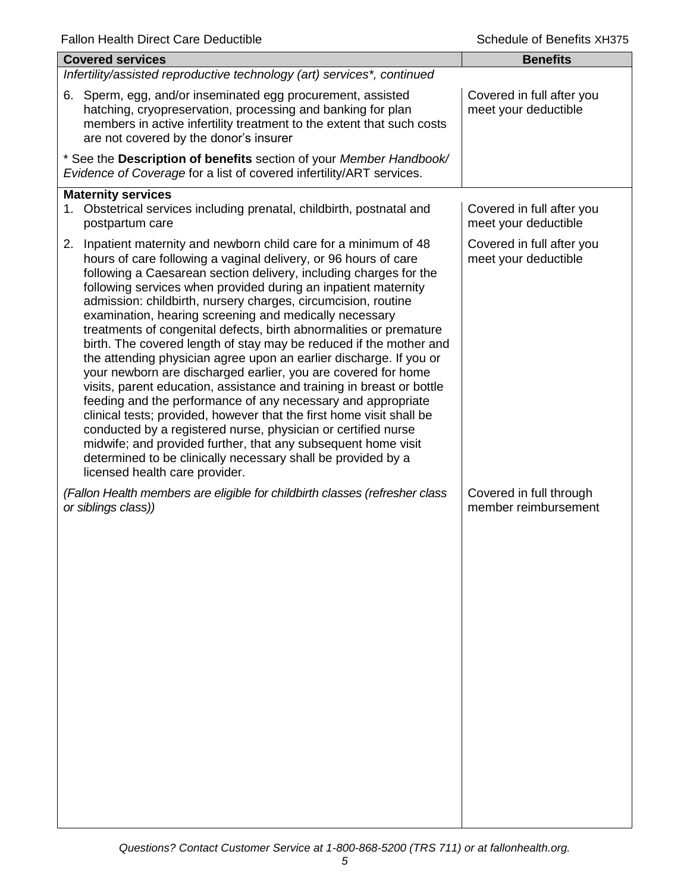| <b>Covered services</b>                                                                                                                                                                                                                                                                                                                                                                                                                                                                                                                                                                                                                                                                                                                                                                                                                                                                                                                                                                                                                                                                                                                        | <b>Benefits</b>                                   |  |  |
|------------------------------------------------------------------------------------------------------------------------------------------------------------------------------------------------------------------------------------------------------------------------------------------------------------------------------------------------------------------------------------------------------------------------------------------------------------------------------------------------------------------------------------------------------------------------------------------------------------------------------------------------------------------------------------------------------------------------------------------------------------------------------------------------------------------------------------------------------------------------------------------------------------------------------------------------------------------------------------------------------------------------------------------------------------------------------------------------------------------------------------------------|---------------------------------------------------|--|--|
| Infertility/assisted reproductive technology (art) services*, continued                                                                                                                                                                                                                                                                                                                                                                                                                                                                                                                                                                                                                                                                                                                                                                                                                                                                                                                                                                                                                                                                        |                                                   |  |  |
| 6. Sperm, egg, and/or inseminated egg procurement, assisted<br>hatching, cryopreservation, processing and banking for plan<br>members in active infertility treatment to the extent that such costs<br>are not covered by the donor's insurer                                                                                                                                                                                                                                                                                                                                                                                                                                                                                                                                                                                                                                                                                                                                                                                                                                                                                                  | Covered in full after you<br>meet your deductible |  |  |
| * See the Description of benefits section of your Member Handbook/<br>Evidence of Coverage for a list of covered infertility/ART services.                                                                                                                                                                                                                                                                                                                                                                                                                                                                                                                                                                                                                                                                                                                                                                                                                                                                                                                                                                                                     |                                                   |  |  |
| <b>Maternity services</b><br>1. Obstetrical services including prenatal, childbirth, postnatal and<br>postpartum care                                                                                                                                                                                                                                                                                                                                                                                                                                                                                                                                                                                                                                                                                                                                                                                                                                                                                                                                                                                                                          | Covered in full after you<br>meet your deductible |  |  |
| 2. Inpatient maternity and newborn child care for a minimum of 48<br>hours of care following a vaginal delivery, or 96 hours of care<br>following a Caesarean section delivery, including charges for the<br>following services when provided during an inpatient maternity<br>admission: childbirth, nursery charges, circumcision, routine<br>examination, hearing screening and medically necessary<br>treatments of congenital defects, birth abnormalities or premature<br>birth. The covered length of stay may be reduced if the mother and<br>the attending physician agree upon an earlier discharge. If you or<br>your newborn are discharged earlier, you are covered for home<br>visits, parent education, assistance and training in breast or bottle<br>feeding and the performance of any necessary and appropriate<br>clinical tests; provided, however that the first home visit shall be<br>conducted by a registered nurse, physician or certified nurse<br>midwife; and provided further, that any subsequent home visit<br>determined to be clinically necessary shall be provided by a<br>licensed health care provider. | Covered in full after you<br>meet your deductible |  |  |
| (Fallon Health members are eligible for childbirth classes (refresher class<br>or siblings class))                                                                                                                                                                                                                                                                                                                                                                                                                                                                                                                                                                                                                                                                                                                                                                                                                                                                                                                                                                                                                                             | Covered in full through<br>member reimbursement   |  |  |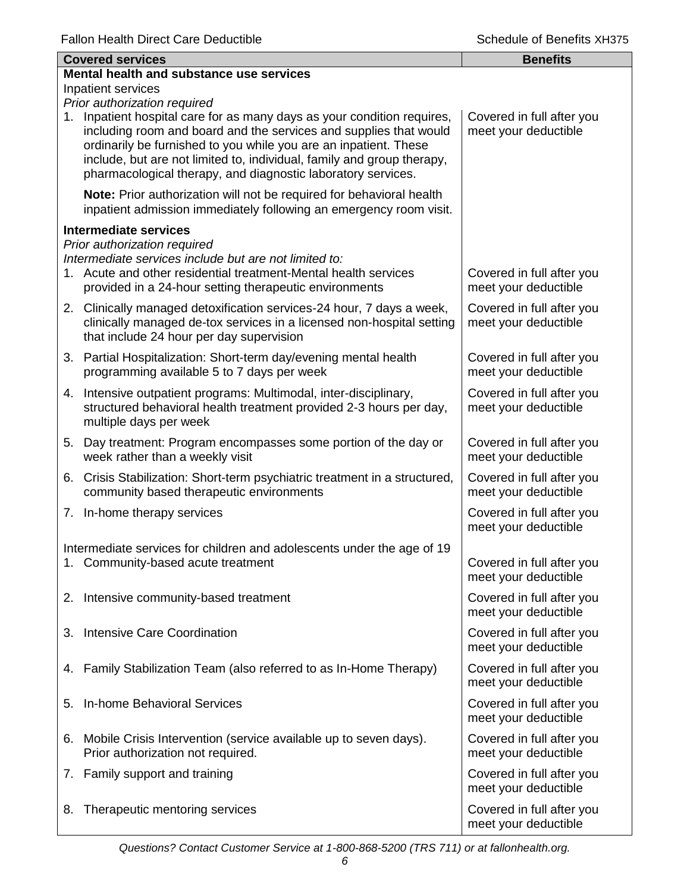|    | <b>Covered services</b>                                                                                                                                                                                                                                                                                                                                    | <b>Benefits</b>                                   |
|----|------------------------------------------------------------------------------------------------------------------------------------------------------------------------------------------------------------------------------------------------------------------------------------------------------------------------------------------------------------|---------------------------------------------------|
|    | Mental health and substance use services                                                                                                                                                                                                                                                                                                                   |                                                   |
|    | Inpatient services                                                                                                                                                                                                                                                                                                                                         |                                                   |
|    | Prior authorization required                                                                                                                                                                                                                                                                                                                               |                                                   |
|    | 1. Inpatient hospital care for as many days as your condition requires,<br>including room and board and the services and supplies that would<br>ordinarily be furnished to you while you are an inpatient. These<br>include, but are not limited to, individual, family and group therapy,<br>pharmacological therapy, and diagnostic laboratory services. | Covered in full after you<br>meet your deductible |
|    | Note: Prior authorization will not be required for behavioral health<br>inpatient admission immediately following an emergency room visit.                                                                                                                                                                                                                 |                                                   |
|    | Intermediate services                                                                                                                                                                                                                                                                                                                                      |                                                   |
|    | Prior authorization required<br>Intermediate services include but are not limited to:<br>1. Acute and other residential treatment-Mental health services                                                                                                                                                                                                   | Covered in full after you                         |
|    | provided in a 24-hour setting therapeutic environments                                                                                                                                                                                                                                                                                                     | meet your deductible                              |
|    | 2. Clinically managed detoxification services-24 hour, 7 days a week,<br>clinically managed de-tox services in a licensed non-hospital setting<br>that include 24 hour per day supervision                                                                                                                                                                 | Covered in full after you<br>meet your deductible |
|    | 3. Partial Hospitalization: Short-term day/evening mental health<br>programming available 5 to 7 days per week                                                                                                                                                                                                                                             | Covered in full after you<br>meet your deductible |
|    | 4. Intensive outpatient programs: Multimodal, inter-disciplinary,<br>structured behavioral health treatment provided 2-3 hours per day,<br>multiple days per week                                                                                                                                                                                          | Covered in full after you<br>meet your deductible |
| 5. | Day treatment: Program encompasses some portion of the day or<br>week rather than a weekly visit                                                                                                                                                                                                                                                           | Covered in full after you<br>meet your deductible |
|    | 6. Crisis Stabilization: Short-term psychiatric treatment in a structured,<br>community based therapeutic environments                                                                                                                                                                                                                                     | Covered in full after you<br>meet your deductible |
|    | 7. In-home therapy services                                                                                                                                                                                                                                                                                                                                | Covered in full after you<br>meet your deductible |
|    | Intermediate services for children and adolescents under the age of 19                                                                                                                                                                                                                                                                                     |                                                   |
|    | 1. Community-based acute treatment                                                                                                                                                                                                                                                                                                                         | Covered in full after you<br>meet your deductible |
|    | 2. Intensive community-based treatment                                                                                                                                                                                                                                                                                                                     | Covered in full after you<br>meet your deductible |
| З. | Intensive Care Coordination                                                                                                                                                                                                                                                                                                                                | Covered in full after you<br>meet your deductible |
|    | 4. Family Stabilization Team (also referred to as In-Home Therapy)                                                                                                                                                                                                                                                                                         | Covered in full after you<br>meet your deductible |
| 5. | In-home Behavioral Services                                                                                                                                                                                                                                                                                                                                | Covered in full after you<br>meet your deductible |
|    | 6. Mobile Crisis Intervention (service available up to seven days).<br>Prior authorization not required.                                                                                                                                                                                                                                                   | Covered in full after you<br>meet your deductible |
|    | 7. Family support and training                                                                                                                                                                                                                                                                                                                             | Covered in full after you<br>meet your deductible |
| 8. | Therapeutic mentoring services                                                                                                                                                                                                                                                                                                                             | Covered in full after you<br>meet your deductible |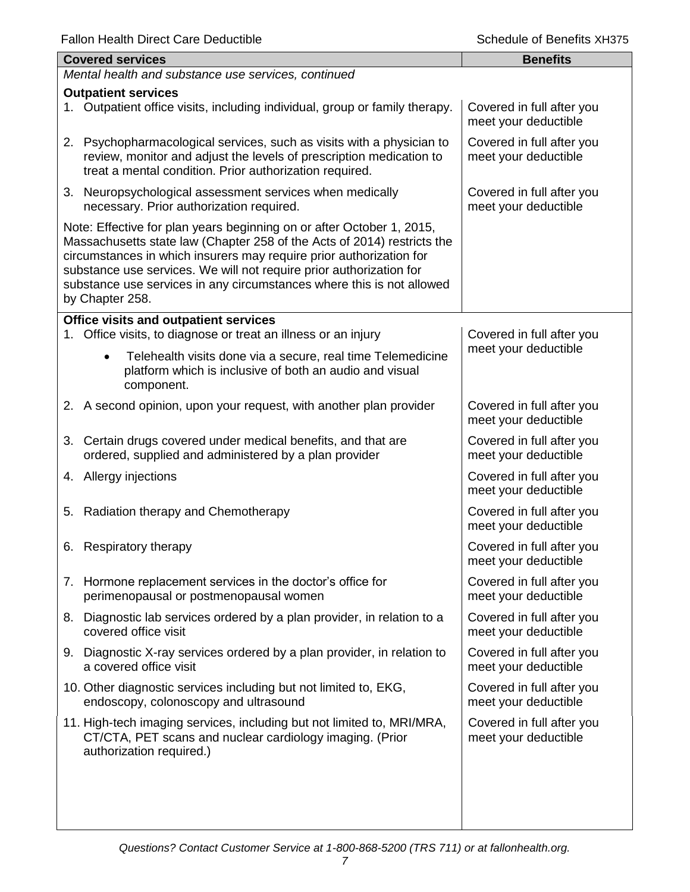| i alion Hoakin Direct Oare Deudetible<br>20100010 OF DONOMO AT 1979                                                                                                                                                                                                                                                                                                                        |                                                   |  |  |
|--------------------------------------------------------------------------------------------------------------------------------------------------------------------------------------------------------------------------------------------------------------------------------------------------------------------------------------------------------------------------------------------|---------------------------------------------------|--|--|
| <b>Covered services</b>                                                                                                                                                                                                                                                                                                                                                                    | <b>Benefits</b>                                   |  |  |
| Mental health and substance use services, continued                                                                                                                                                                                                                                                                                                                                        |                                                   |  |  |
| <b>Outpatient services</b><br>1. Outpatient office visits, including individual, group or family therapy.                                                                                                                                                                                                                                                                                  | Covered in full after you<br>meet your deductible |  |  |
| 2. Psychopharmacological services, such as visits with a physician to<br>review, monitor and adjust the levels of prescription medication to<br>treat a mental condition. Prior authorization required.                                                                                                                                                                                    | Covered in full after you<br>meet your deductible |  |  |
| 3. Neuropsychological assessment services when medically<br>necessary. Prior authorization required.                                                                                                                                                                                                                                                                                       | Covered in full after you<br>meet your deductible |  |  |
| Note: Effective for plan years beginning on or after October 1, 2015,<br>Massachusetts state law (Chapter 258 of the Acts of 2014) restricts the<br>circumstances in which insurers may require prior authorization for<br>substance use services. We will not require prior authorization for<br>substance use services in any circumstances where this is not allowed<br>by Chapter 258. |                                                   |  |  |
| Office visits and outpatient services                                                                                                                                                                                                                                                                                                                                                      |                                                   |  |  |
| 1. Office visits, to diagnose or treat an illness or an injury                                                                                                                                                                                                                                                                                                                             | Covered in full after you                         |  |  |
| Telehealth visits done via a secure, real time Telemedicine<br>$\bullet$<br>platform which is inclusive of both an audio and visual<br>component.                                                                                                                                                                                                                                          | meet your deductible                              |  |  |
| 2. A second opinion, upon your request, with another plan provider                                                                                                                                                                                                                                                                                                                         | Covered in full after you<br>meet your deductible |  |  |
| 3. Certain drugs covered under medical benefits, and that are<br>ordered, supplied and administered by a plan provider                                                                                                                                                                                                                                                                     | Covered in full after you<br>meet your deductible |  |  |
| 4. Allergy injections                                                                                                                                                                                                                                                                                                                                                                      | Covered in full after you<br>meet your deductible |  |  |
| 5. Radiation therapy and Chemotherapy                                                                                                                                                                                                                                                                                                                                                      | Covered in full after you<br>meet your deductible |  |  |
| 6. Respiratory therapy                                                                                                                                                                                                                                                                                                                                                                     | Covered in full after you<br>meet your deductible |  |  |
| 7. Hormone replacement services in the doctor's office for<br>perimenopausal or postmenopausal women                                                                                                                                                                                                                                                                                       | Covered in full after you<br>meet your deductible |  |  |
| 8. Diagnostic lab services ordered by a plan provider, in relation to a<br>covered office visit                                                                                                                                                                                                                                                                                            | Covered in full after you<br>meet your deductible |  |  |
| 9. Diagnostic X-ray services ordered by a plan provider, in relation to<br>a covered office visit                                                                                                                                                                                                                                                                                          | Covered in full after you<br>meet your deductible |  |  |
| 10. Other diagnostic services including but not limited to, EKG,<br>endoscopy, colonoscopy and ultrasound                                                                                                                                                                                                                                                                                  | Covered in full after you<br>meet your deductible |  |  |
| 11. High-tech imaging services, including but not limited to, MRI/MRA,<br>CT/CTA, PET scans and nuclear cardiology imaging. (Prior<br>authorization required.)                                                                                                                                                                                                                             | Covered in full after you<br>meet your deductible |  |  |
|                                                                                                                                                                                                                                                                                                                                                                                            |                                                   |  |  |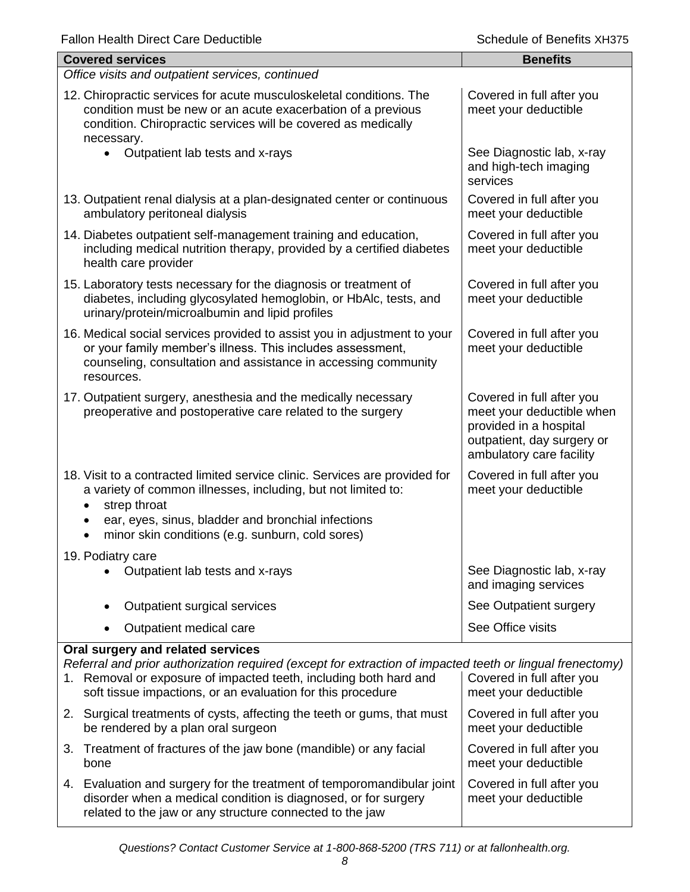meet your deductible

| <b>Fallon Health Direct Care Deductible</b> |  |  |
|---------------------------------------------|--|--|
|---------------------------------------------|--|--|

| <b>Fallon Health Direct Care Deductible</b>                                                                                                                                                                                                                                         | Schedule of Benefits XH375                                                                                                                 |  |  |
|-------------------------------------------------------------------------------------------------------------------------------------------------------------------------------------------------------------------------------------------------------------------------------------|--------------------------------------------------------------------------------------------------------------------------------------------|--|--|
| <b>Covered services</b>                                                                                                                                                                                                                                                             | <b>Benefits</b>                                                                                                                            |  |  |
| Office visits and outpatient services, continued                                                                                                                                                                                                                                    |                                                                                                                                            |  |  |
| 12. Chiropractic services for acute musculoskeletal conditions. The<br>condition must be new or an acute exacerbation of a previous<br>condition. Chiropractic services will be covered as medically<br>necessary.                                                                  | Covered in full after you<br>meet your deductible                                                                                          |  |  |
| Outpatient lab tests and x-rays<br>$\bullet$                                                                                                                                                                                                                                        | See Diagnostic lab, x-ray<br>and high-tech imaging<br>services                                                                             |  |  |
| 13. Outpatient renal dialysis at a plan-designated center or continuous<br>ambulatory peritoneal dialysis                                                                                                                                                                           | Covered in full after you<br>meet your deductible                                                                                          |  |  |
| 14. Diabetes outpatient self-management training and education,<br>including medical nutrition therapy, provided by a certified diabetes<br>health care provider                                                                                                                    | Covered in full after you<br>meet your deductible                                                                                          |  |  |
| 15. Laboratory tests necessary for the diagnosis or treatment of<br>diabetes, including glycosylated hemoglobin, or HbAlc, tests, and<br>urinary/protein/microalbumin and lipid profiles                                                                                            | Covered in full after you<br>meet your deductible                                                                                          |  |  |
| 16. Medical social services provided to assist you in adjustment to your<br>or your family member's illness. This includes assessment,<br>counseling, consultation and assistance in accessing community<br>resources.                                                              | Covered in full after you<br>meet your deductible                                                                                          |  |  |
| 17. Outpatient surgery, anesthesia and the medically necessary<br>preoperative and postoperative care related to the surgery                                                                                                                                                        | Covered in full after you<br>meet your deductible when<br>provided in a hospital<br>outpatient, day surgery or<br>ambulatory care facility |  |  |
| 18. Visit to a contracted limited service clinic. Services are provided for<br>a variety of common illnesses, including, but not limited to:<br>strep throat<br>$\bullet$<br>ear, eyes, sinus, bladder and bronchial infections<br>minor skin conditions (e.g. sunburn, cold sores) | Covered in full after you<br>meet your deductible                                                                                          |  |  |
| 19. Podiatry care<br>Outpatient lab tests and x-rays                                                                                                                                                                                                                                | See Diagnostic lab, x-ray<br>and imaging services                                                                                          |  |  |
| Outpatient surgical services<br>٠                                                                                                                                                                                                                                                   | See Outpatient surgery                                                                                                                     |  |  |
| Outpatient medical care                                                                                                                                                                                                                                                             | See Office visits                                                                                                                          |  |  |
| Oral surgery and related services<br>Referral and prior authorization required (except for extraction of impacted teeth or lingual frenectomy)<br>1. Removal or exposure of impacted teeth, including both hard and<br>soft tissue impactions, or an evaluation for this procedure  | Covered in full after you<br>meet your deductible                                                                                          |  |  |
| 2. Surgical treatments of cysts, affecting the teeth or gums, that must<br>be rendered by a plan oral surgeon                                                                                                                                                                       | Covered in full after you<br>meet your deductible                                                                                          |  |  |
| 3. Treatment of fractures of the jaw bone (mandible) or any facial                                                                                                                                                                                                                  | Covered in full after you                                                                                                                  |  |  |

- 3. Treatment of fractures of the jaw bone (mandible) or any facial bone
- 4. Evaluation and surgery for the treatment of temporomandibular joint disorder when a medical condition is diagnosed, or for surgery related to the jaw or any structure connected to the jaw Covered in full after you meet your deductible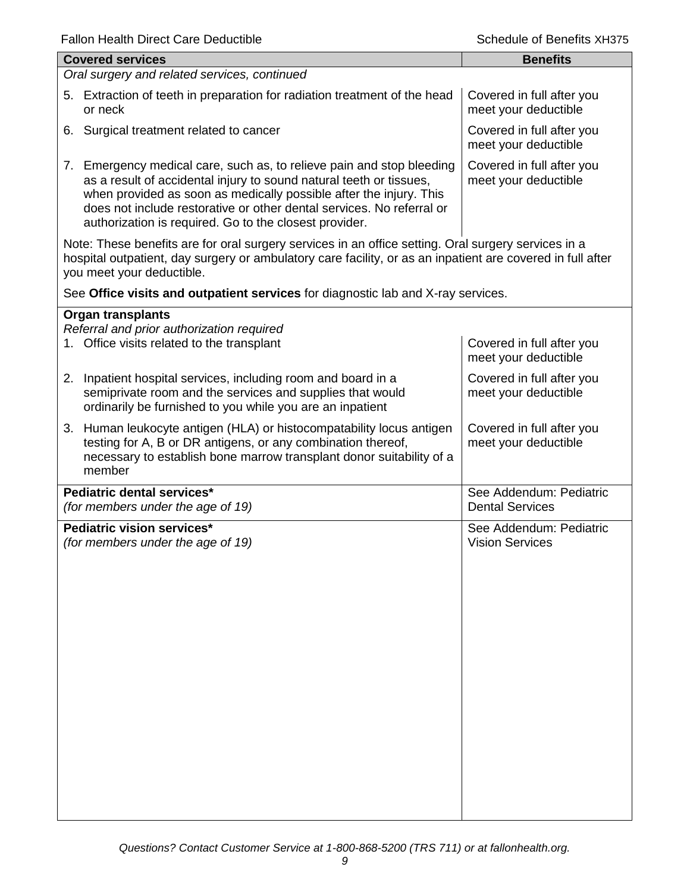| i aliuli i icaiti Direct Care Deuuctible                                                                                                                                                                                                                                                                                                              | ocheddle of Defients yn iara                      |
|-------------------------------------------------------------------------------------------------------------------------------------------------------------------------------------------------------------------------------------------------------------------------------------------------------------------------------------------------------|---------------------------------------------------|
| <b>Covered services</b>                                                                                                                                                                                                                                                                                                                               | <b>Benefits</b>                                   |
| Oral surgery and related services, continued                                                                                                                                                                                                                                                                                                          |                                                   |
| 5. Extraction of teeth in preparation for radiation treatment of the head<br>or neck                                                                                                                                                                                                                                                                  | Covered in full after you<br>meet your deductible |
| 6. Surgical treatment related to cancer                                                                                                                                                                                                                                                                                                               | Covered in full after you<br>meet your deductible |
| 7. Emergency medical care, such as, to relieve pain and stop bleeding<br>as a result of accidental injury to sound natural teeth or tissues,<br>when provided as soon as medically possible after the injury. This<br>does not include restorative or other dental services. No referral or<br>authorization is required. Go to the closest provider. | Covered in full after you<br>meet your deductible |
| Note: These benefits are for oral surgery services in an office setting. Oral surgery services in a<br>hospital outpatient, day surgery or ambulatory care facility, or as an inpatient are covered in full after<br>you meet your deductible.                                                                                                        |                                                   |
| See Office visits and outpatient services for diagnostic lab and X-ray services.                                                                                                                                                                                                                                                                      |                                                   |
| <b>Organ transplants</b><br>Referral and prior authorization required<br>1. Office visits related to the transplant                                                                                                                                                                                                                                   | Covered in full after you<br>meet your deductible |
| 2. Inpatient hospital services, including room and board in a<br>semiprivate room and the services and supplies that would<br>ordinarily be furnished to you while you are an inpatient                                                                                                                                                               | Covered in full after you<br>meet your deductible |
| 3. Human leukocyte antigen (HLA) or histocompatability locus antigen<br>testing for A, B or DR antigens, or any combination thereof,<br>necessary to establish bone marrow transplant donor suitability of a<br>member                                                                                                                                | Covered in full after you<br>meet your deductible |
| Pediatric dental services*<br>(for members under the age of 19)                                                                                                                                                                                                                                                                                       | See Addendum: Pediatric<br><b>Dental Services</b> |
| Pediatric vision services*<br>(for members under the age of 19)                                                                                                                                                                                                                                                                                       | See Addendum: Pediatric<br><b>Vision Services</b> |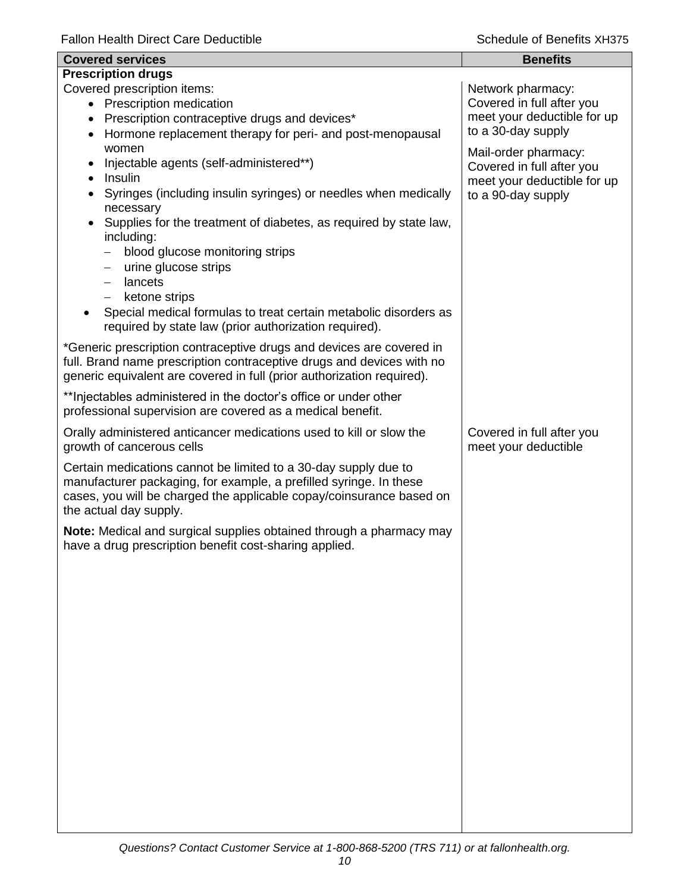| <b>Covered services</b>                                                                                                         | <b>Benefits</b>             |
|---------------------------------------------------------------------------------------------------------------------------------|-----------------------------|
| <b>Prescription drugs</b>                                                                                                       |                             |
| Covered prescription items:                                                                                                     | Network pharmacy:           |
| • Prescription medication                                                                                                       | Covered in full after you   |
| • Prescription contraceptive drugs and devices*                                                                                 | meet your deductible for up |
| Hormone replacement therapy for peri- and post-menopausal                                                                       | to a 30-day supply          |
| women                                                                                                                           | Mail-order pharmacy:        |
| Injectable agents (self-administered**)                                                                                         | Covered in full after you   |
| Insulin<br>$\bullet$                                                                                                            | meet your deductible for up |
| Syringes (including insulin syringes) or needles when medically                                                                 | to a 90-day supply          |
| necessary                                                                                                                       |                             |
| Supplies for the treatment of diabetes, as required by state law,                                                               |                             |
| including:<br>blood glucose monitoring strips                                                                                   |                             |
| urine glucose strips<br>$\overline{\phantom{m}}$                                                                                |                             |
| lancets<br>$\qquad \qquad -$                                                                                                    |                             |
| ketone strips<br>$\overline{\phantom{m}}$                                                                                       |                             |
| Special medical formulas to treat certain metabolic disorders as                                                                |                             |
| required by state law (prior authorization required).                                                                           |                             |
| *Generic prescription contraceptive drugs and devices are covered in                                                            |                             |
| full. Brand name prescription contraceptive drugs and devices with no                                                           |                             |
| generic equivalent are covered in full (prior authorization required).                                                          |                             |
|                                                                                                                                 |                             |
| ** Injectables administered in the doctor's office or under other<br>professional supervision are covered as a medical benefit. |                             |
|                                                                                                                                 |                             |
| Orally administered anticancer medications used to kill or slow the                                                             | Covered in full after you   |
| growth of cancerous cells                                                                                                       | meet your deductible        |
| Certain medications cannot be limited to a 30-day supply due to                                                                 |                             |
| manufacturer packaging, for example, a prefilled syringe. In these                                                              |                             |
| cases, you will be charged the applicable copay/coinsurance based on                                                            |                             |
| the actual day supply.                                                                                                          |                             |
| Note: Medical and surgical supplies obtained through a pharmacy may                                                             |                             |
| have a drug prescription benefit cost-sharing applied.                                                                          |                             |
|                                                                                                                                 |                             |
|                                                                                                                                 |                             |
|                                                                                                                                 |                             |
|                                                                                                                                 |                             |
|                                                                                                                                 |                             |
|                                                                                                                                 |                             |
|                                                                                                                                 |                             |
|                                                                                                                                 |                             |
|                                                                                                                                 |                             |
|                                                                                                                                 |                             |
|                                                                                                                                 |                             |
|                                                                                                                                 |                             |
|                                                                                                                                 |                             |
|                                                                                                                                 |                             |
|                                                                                                                                 |                             |
|                                                                                                                                 |                             |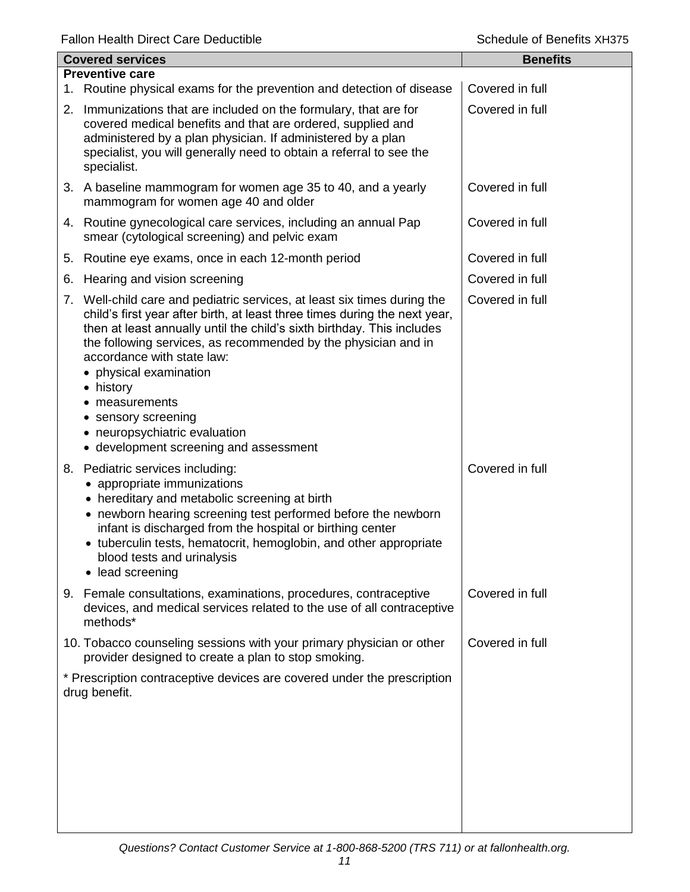|    | <b>Covered services</b>                                                                                                                                                                                                                                                                                                                                                                                                                                                                   | <b>Benefits</b> |
|----|-------------------------------------------------------------------------------------------------------------------------------------------------------------------------------------------------------------------------------------------------------------------------------------------------------------------------------------------------------------------------------------------------------------------------------------------------------------------------------------------|-----------------|
|    | <b>Preventive care</b>                                                                                                                                                                                                                                                                                                                                                                                                                                                                    |                 |
|    | 1. Routine physical exams for the prevention and detection of disease                                                                                                                                                                                                                                                                                                                                                                                                                     | Covered in full |
|    | 2. Immunizations that are included on the formulary, that are for<br>covered medical benefits and that are ordered, supplied and<br>administered by a plan physician. If administered by a plan<br>specialist, you will generally need to obtain a referral to see the<br>specialist.                                                                                                                                                                                                     | Covered in full |
|    | 3. A baseline mammogram for women age 35 to 40, and a yearly<br>mammogram for women age 40 and older                                                                                                                                                                                                                                                                                                                                                                                      | Covered in full |
|    | 4. Routine gynecological care services, including an annual Pap<br>smear (cytological screening) and pelvic exam                                                                                                                                                                                                                                                                                                                                                                          | Covered in full |
| 5. | Routine eye exams, once in each 12-month period                                                                                                                                                                                                                                                                                                                                                                                                                                           | Covered in full |
| 6. | Hearing and vision screening                                                                                                                                                                                                                                                                                                                                                                                                                                                              | Covered in full |
|    | 7. Well-child care and pediatric services, at least six times during the<br>child's first year after birth, at least three times during the next year,<br>then at least annually until the child's sixth birthday. This includes<br>the following services, as recommended by the physician and in<br>accordance with state law:<br>• physical examination<br>• history<br>measurements<br>• sensory screening<br>• neuropsychiatric evaluation<br>• development screening and assessment | Covered in full |
|    | 8. Pediatric services including:<br>• appropriate immunizations<br>• hereditary and metabolic screening at birth<br>• newborn hearing screening test performed before the newborn<br>infant is discharged from the hospital or birthing center<br>• tuberculin tests, hematocrit, hemoglobin, and other appropriate<br>blood tests and urinalysis<br>lead screening                                                                                                                       | Covered in full |
|    | 9. Female consultations, examinations, procedures, contraceptive<br>devices, and medical services related to the use of all contraceptive<br>methods*                                                                                                                                                                                                                                                                                                                                     | Covered in full |
|    | 10. Tobacco counseling sessions with your primary physician or other<br>provider designed to create a plan to stop smoking.                                                                                                                                                                                                                                                                                                                                                               | Covered in full |
|    | * Prescription contraceptive devices are covered under the prescription<br>drug benefit.                                                                                                                                                                                                                                                                                                                                                                                                  |                 |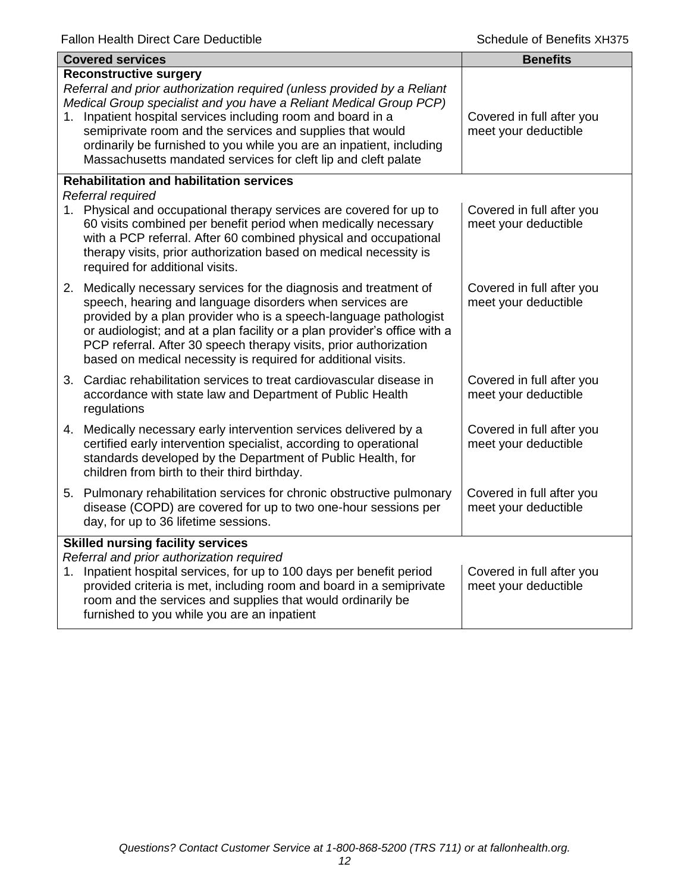|    | <b>Covered services</b>                                                                                                                                                                                                                                                                                                                                                                                                                               | <b>Benefits</b>                                   |
|----|-------------------------------------------------------------------------------------------------------------------------------------------------------------------------------------------------------------------------------------------------------------------------------------------------------------------------------------------------------------------------------------------------------------------------------------------------------|---------------------------------------------------|
|    | <b>Reconstructive surgery</b><br>Referral and prior authorization required (unless provided by a Reliant<br>Medical Group specialist and you have a Reliant Medical Group PCP)<br>1. Inpatient hospital services including room and board in a<br>semiprivate room and the services and supplies that would<br>ordinarily be furnished to you while you are an inpatient, including<br>Massachusetts mandated services for cleft lip and cleft palate | Covered in full after you<br>meet your deductible |
|    | <b>Rehabilitation and habilitation services</b>                                                                                                                                                                                                                                                                                                                                                                                                       |                                                   |
|    | Referral required<br>1. Physical and occupational therapy services are covered for up to<br>60 visits combined per benefit period when medically necessary<br>with a PCP referral. After 60 combined physical and occupational<br>therapy visits, prior authorization based on medical necessity is<br>required for additional visits.                                                                                                                | Covered in full after you<br>meet your deductible |
|    | 2. Medically necessary services for the diagnosis and treatment of<br>speech, hearing and language disorders when services are<br>provided by a plan provider who is a speech-language pathologist<br>or audiologist; and at a plan facility or a plan provider's office with a<br>PCP referral. After 30 speech therapy visits, prior authorization<br>based on medical necessity is required for additional visits.                                 | Covered in full after you<br>meet your deductible |
|    | 3. Cardiac rehabilitation services to treat cardiovascular disease in<br>accordance with state law and Department of Public Health<br>regulations                                                                                                                                                                                                                                                                                                     | Covered in full after you<br>meet your deductible |
|    | 4. Medically necessary early intervention services delivered by a<br>certified early intervention specialist, according to operational<br>standards developed by the Department of Public Health, for<br>children from birth to their third birthday.                                                                                                                                                                                                 | Covered in full after you<br>meet your deductible |
|    | 5. Pulmonary rehabilitation services for chronic obstructive pulmonary<br>disease (COPD) are covered for up to two one-hour sessions per<br>day, for up to 36 lifetime sessions.                                                                                                                                                                                                                                                                      | Covered in full after you<br>meet your deductible |
| 1. | <b>Skilled nursing facility services</b><br>Referral and prior authorization required<br>Inpatient hospital services, for up to 100 days per benefit period<br>provided criteria is met, including room and board in a semiprivate<br>room and the services and supplies that would ordinarily be<br>furnished to you while you are an inpatient                                                                                                      | Covered in full after you<br>meet your deductible |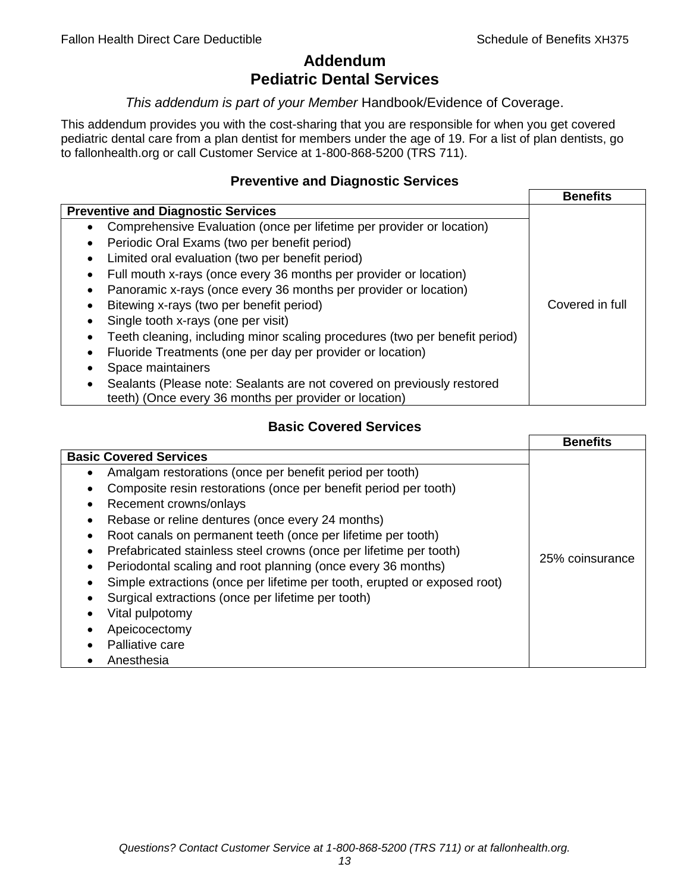# **Addendum Pediatric Dental Services**

## *This addendum is part of your Member* Handbook/Evidence of Coverage.

This addendum provides you with the cost-sharing that you are responsible for when you get covered pediatric dental care from a plan dentist for members under the age of 19. For a list of plan dentists, go to fallonhealth.org or call Customer Service at 1-800-868-5200 (TRS 711).

## **Preventive and Diagnostic Services**

|                                                                             | <b>Benefits</b> |
|-----------------------------------------------------------------------------|-----------------|
| <b>Preventive and Diagnostic Services</b>                                   |                 |
| Comprehensive Evaluation (once per lifetime per provider or location)<br>٠  |                 |
| Periodic Oral Exams (two per benefit period)<br>$\bullet$                   |                 |
| Limited oral evaluation (two per benefit period)<br>$\bullet$               |                 |
| Full mouth x-rays (once every 36 months per provider or location)           |                 |
| Panoramic x-rays (once every 36 months per provider or location)            |                 |
| Bitewing x-rays (two per benefit period)<br>$\bullet$                       | Covered in full |
| Single tooth x-rays (one per visit)                                         |                 |
| Teeth cleaning, including minor scaling procedures (two per benefit period) |                 |
| Fluoride Treatments (one per day per provider or location)                  |                 |
| Space maintainers                                                           |                 |
| Sealants (Please note: Sealants are not covered on previously restored      |                 |
| teeth) (Once every 36 months per provider or location)                      |                 |

## **Basic Covered Services**

|                                                                                                                                                                                                                                                                                                                                            | <b>Benefits</b> |
|--------------------------------------------------------------------------------------------------------------------------------------------------------------------------------------------------------------------------------------------------------------------------------------------------------------------------------------------|-----------------|
| <b>Basic Covered Services</b><br>Amalgam restorations (once per benefit period per tooth)<br>Composite resin restorations (once per benefit period per tooth)<br>Recement crowns/onlays<br>Rebase or reline dentures (once every 24 months)<br>Root canals on permanent teeth (once per lifetime per tooth)                                |                 |
| Prefabricated stainless steel crowns (once per lifetime per tooth)<br>Periodontal scaling and root planning (once every 36 months)<br>Simple extractions (once per lifetime per tooth, erupted or exposed root)<br>Surgical extractions (once per lifetime per tooth)<br>Vital pulpotomy<br>Apeicocectomy<br>Palliative care<br>Anesthesia | 25% coinsurance |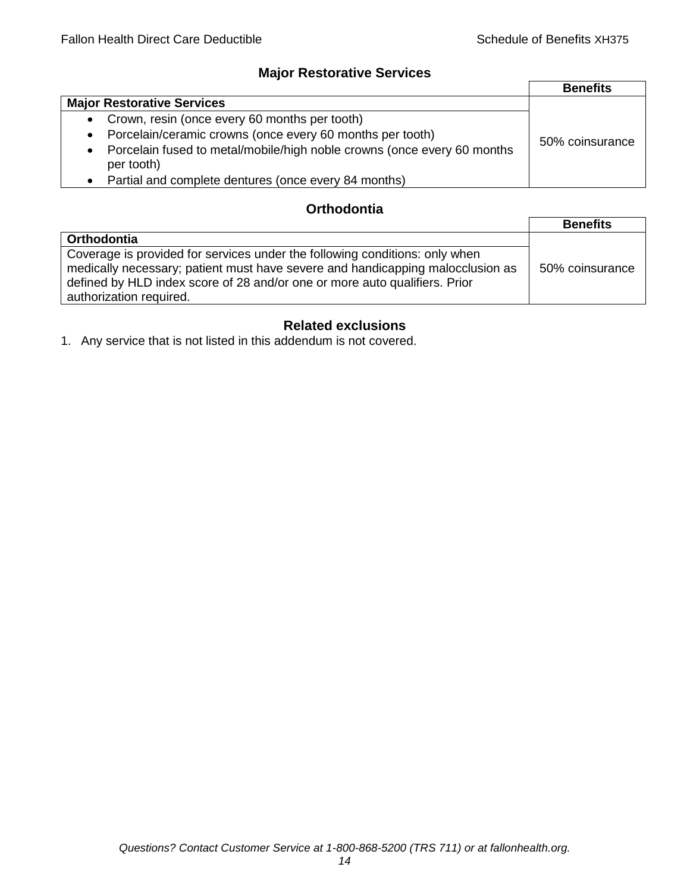# **Major Restorative Services**

|                                                                                                    | <b>Benefits</b> |
|----------------------------------------------------------------------------------------------------|-----------------|
| <b>Major Restorative Services</b>                                                                  |                 |
| • Crown, resin (once every 60 months per tooth)                                                    |                 |
| Porcelain/ceramic crowns (once every 60 months per tooth)<br>$\bullet$                             | 50% coinsurance |
| Porcelain fused to metal/mobile/high noble crowns (once every 60 months<br>$\bullet$<br>per tooth) |                 |
| • Partial and complete dentures (once every 84 months)                                             |                 |

# **Orthodontia**

|                                                                                                                                                                                                                                                                        | <b>Benefits</b> |
|------------------------------------------------------------------------------------------------------------------------------------------------------------------------------------------------------------------------------------------------------------------------|-----------------|
| <b>Orthodontia</b>                                                                                                                                                                                                                                                     |                 |
| Coverage is provided for services under the following conditions: only when<br>medically necessary; patient must have severe and handicapping malocclusion as<br>defined by HLD index score of 28 and/or one or more auto qualifiers. Prior<br>authorization required. | 50% coinsurance |

# **Related exclusions**

1. Any service that is not listed in this addendum is not covered.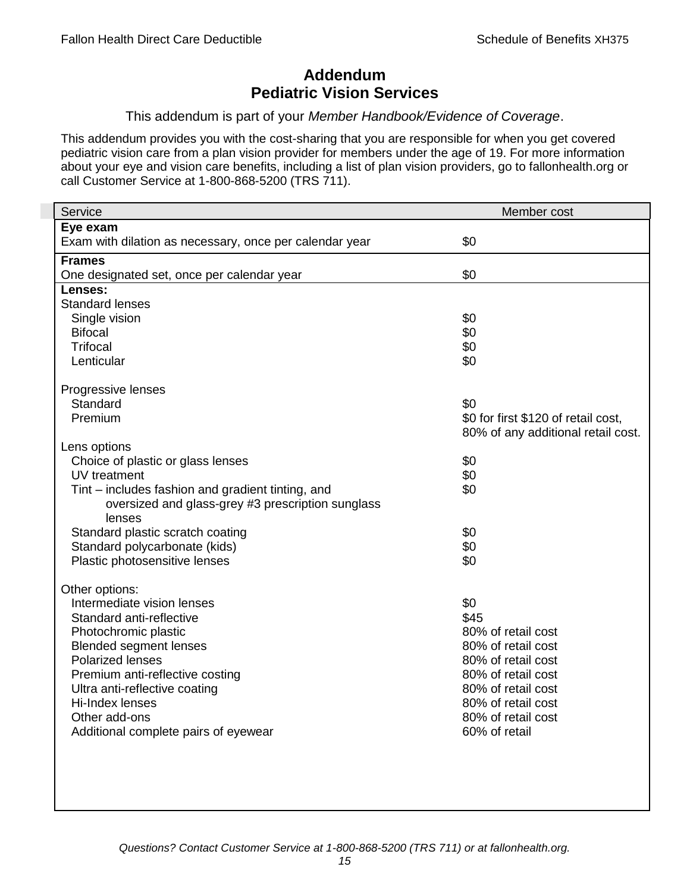# **Addendum Pediatric Vision Services**

## This addendum is part of your *Member Handbook/Evidence of Coverage*.

This addendum provides you with the cost-sharing that you are responsible for when you get covered pediatric vision care from a plan vision provider for members under the age of 19. For more information about your eye and vision care benefits, including a list of plan vision providers, go to fallonhealth.org or call Customer Service at 1-800-868-5200 (TRS 711).

| Service                                                 | Member cost                         |
|---------------------------------------------------------|-------------------------------------|
| Eye exam                                                |                                     |
| Exam with dilation as necessary, once per calendar year | \$0                                 |
| <b>Frames</b>                                           |                                     |
| One designated set, once per calendar year              | \$0                                 |
| Lenses:                                                 |                                     |
| <b>Standard lenses</b>                                  |                                     |
| Single vision                                           | \$0                                 |
| <b>Bifocal</b>                                          | \$0                                 |
| <b>Trifocal</b>                                         | \$0                                 |
| Lenticular                                              | \$0                                 |
| Progressive lenses                                      |                                     |
| Standard                                                | \$0                                 |
| Premium                                                 | \$0 for first \$120 of retail cost, |
|                                                         | 80% of any additional retail cost.  |
| Lens options                                            |                                     |
| Choice of plastic or glass lenses                       | \$0                                 |
| UV treatment                                            | \$0                                 |
| Tint – includes fashion and gradient tinting, and       | \$0                                 |
| oversized and glass-grey #3 prescription sunglass       |                                     |
| lenses                                                  |                                     |
| Standard plastic scratch coating                        | \$0                                 |
| Standard polycarbonate (kids)                           | \$0                                 |
| Plastic photosensitive lenses                           | \$0                                 |
| Other options:                                          |                                     |
| Intermediate vision lenses                              | \$0                                 |
| Standard anti-reflective                                | \$45                                |
| Photochromic plastic                                    | 80% of retail cost                  |
| <b>Blended segment lenses</b>                           | 80% of retail cost                  |
| <b>Polarized lenses</b>                                 | 80% of retail cost                  |
| Premium anti-reflective costing                         | 80% of retail cost                  |
| Ultra anti-reflective coating                           | 80% of retail cost                  |
| Hi-Index lenses                                         | 80% of retail cost                  |
| Other add-ons                                           | 80% of retail cost                  |
| Additional complete pairs of eyewear                    | 60% of retail                       |
|                                                         |                                     |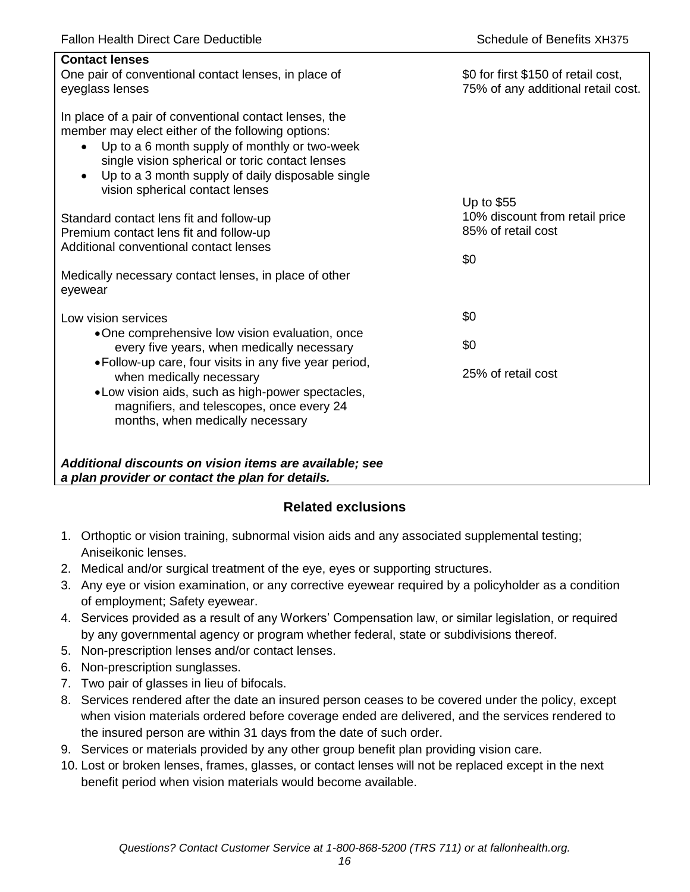| <b>Contact lenses</b><br>One pair of conventional contact lenses, in place of<br>eyeglass lenses                                                                                                                                                                                                                                  | \$0 for first \$150 of retail cost,<br>75% of any additional retail cost. |
|-----------------------------------------------------------------------------------------------------------------------------------------------------------------------------------------------------------------------------------------------------------------------------------------------------------------------------------|---------------------------------------------------------------------------|
| In place of a pair of conventional contact lenses, the<br>member may elect either of the following options:<br>Up to a 6 month supply of monthly or two-week<br>$\bullet$<br>single vision spherical or toric contact lenses<br>Up to a 3 month supply of daily disposable single<br>$\bullet$<br>vision spherical contact lenses |                                                                           |
| Standard contact lens fit and follow-up<br>Premium contact lens fit and follow-up<br>Additional conventional contact lenses                                                                                                                                                                                                       | Up to \$55<br>10% discount from retail price<br>85% of retail cost<br>\$0 |
| Medically necessary contact lenses, in place of other<br>eyewear                                                                                                                                                                                                                                                                  |                                                                           |
| Low vision services                                                                                                                                                                                                                                                                                                               | \$0                                                                       |
| •One comprehensive low vision evaluation, once<br>every five years, when medically necessary                                                                                                                                                                                                                                      | \$0                                                                       |
| • Follow-up care, four visits in any five year period,<br>when medically necessary<br>• Low vision aids, such as high-power spectacles,<br>magnifiers, and telescopes, once every 24<br>months, when medically necessary                                                                                                          | 25% of retail cost                                                        |
| Additional discounts on vision items are available; see<br>a plan provider or contact the plan for details.                                                                                                                                                                                                                       |                                                                           |

# **Related exclusions**

- 1. Orthoptic or vision training, subnormal vision aids and any associated supplemental testing; Aniseikonic lenses.
- 2. Medical and/or surgical treatment of the eye, eyes or supporting structures.
- 3. Any eye or vision examination, or any corrective eyewear required by a policyholder as a condition of employment; Safety eyewear.
- 4. Services provided as a result of any Workers' Compensation law, or similar legislation, or required by any governmental agency or program whether federal, state or subdivisions thereof.
- 5. Non-prescription lenses and/or contact lenses.
- 6. Non-prescription sunglasses.
- 7. Two pair of glasses in lieu of bifocals.
- 8. Services rendered after the date an insured person ceases to be covered under the policy, except when vision materials ordered before coverage ended are delivered, and the services rendered to the insured person are within 31 days from the date of such order.
- 9. Services or materials provided by any other group benefit plan providing vision care.
- 10. Lost or broken lenses, frames, glasses, or contact lenses will not be replaced except in the next benefit period when vision materials would become available.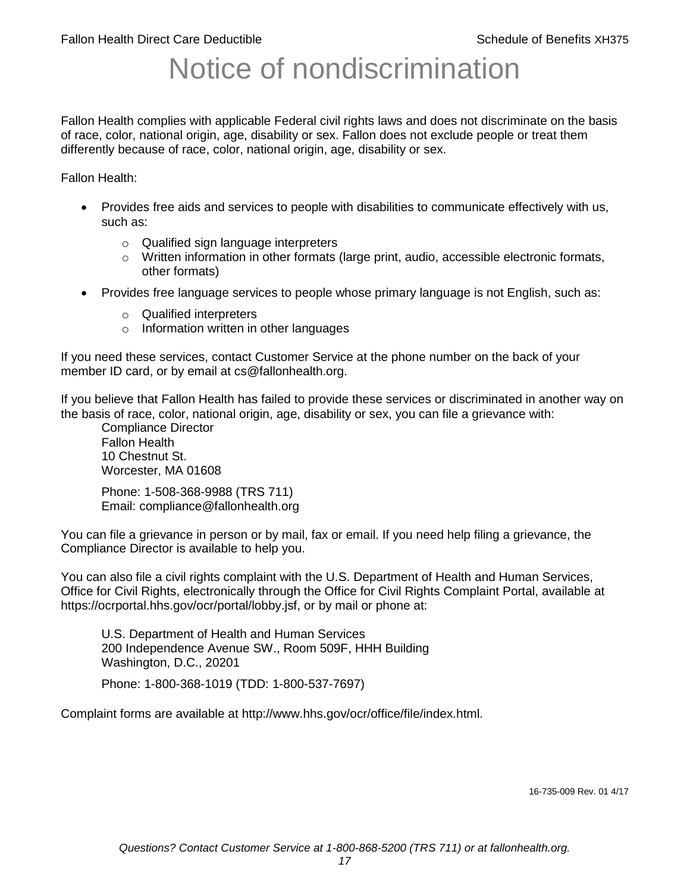# Notice of nondiscrimination

Fallon Health complies with applicable Federal civil rights laws and does not discriminate on the basis of race, color, national origin, age, disability or sex. Fallon does not exclude people or treat them differently because of race, color, national origin, age, disability or sex.

Fallon Health:

- Provides free aids and services to people with disabilities to communicate effectively with us, such as:
	- o Qualified sign language interpreters
	- $\circ$  Written information in other formats (large print, audio, accessible electronic formats, other formats)
- Provides free language services to people whose primary language is not English, such as:
	- o Qualified interpreters
	- o Information written in other languages

If you need these services, contact Customer Service at the phone number on the back of your member ID card, or by email at cs@fallonhealth.org.

If you believe that Fallon Health has failed to provide these services or discriminated in another way on the basis of race, color, national origin, age, disability or sex, you can file a grievance with:

Compliance Director Fallon Health 10 Chestnut St. Worcester, MA 01608

Phone: 1-508-368-9988 (TRS 711) Email: compliance@fallonhealth.org

You can file a grievance in person or by mail, fax or email. If you need help filing a grievance, the Compliance Director is available to help you.

You can also file a civil rights complaint with the U.S. Department of Health and Human Services, Office for Civil Rights, electronically through the Office for Civil Rights Complaint Portal, available at https://ocrportal.hhs.gov/ocr/portal/lobby.jsf, or by mail or phone at:

U.S. Department of Health and Human Services 200 Independence Avenue SW., Room 509F, HHH Building Washington, D.C., 20201

Phone: 1-800-368-1019 (TDD: 1-800-537-7697)

Complaint forms are available at http://www.hhs.gov/ocr/office/file/index.html.

16-735-009 Rev. 01 4/17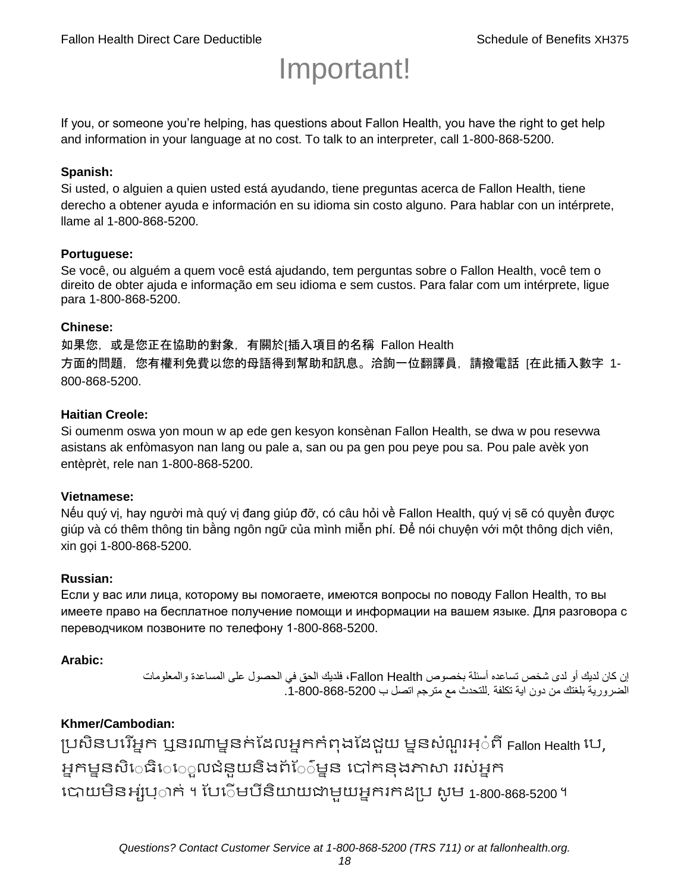# Important!

If you, or someone you're helping, has questions about Fallon Health, you have the right to get help and information in your language at no cost. To talk to an interpreter, call 1-800-868-5200.

#### **Spanish:**

Si usted, o alguien a quien usted está ayudando, tiene preguntas acerca de Fallon Health, tiene derecho a obtener ayuda e información en su idioma sin costo alguno. Para hablar con un intérprete, llame al 1-800-868-5200.

#### **Portuguese:**

Se você, ou alguém a quem você está ajudando, tem perguntas sobre o Fallon Health, você tem o direito de obter ajuda e informação em seu idioma e sem custos. Para falar com um intérprete, ligue para 1-800-868-5200.

#### **Chinese:**

如果您,或是您正在協助的對象,有關於[插入項目的名稱 Fallon Health 方面的問題, 您有權利免費以您的母語得到幫助和訊息。洽詢一位翻譯員, 請撥電話 [在此插入數字 1-800-868-5200.

#### **Haitian Creole:**

Si oumenm oswa yon moun w ap ede gen kesyon konsènan Fallon Health, se dwa w pou resevwa asistans ak enfòmasyon nan lang ou pale a, san ou pa gen pou peye pou sa. Pou pale avèk yon entèprèt, rele nan 1-800-868-5200.

#### **Vietnamese:**

Nếu quý vị, hay người mà quý vị đang giúp đỡ, có câu hỏi về Fallon Health, quý vị sẽ có quyền được giúp và có thêm thông tin bằng ngôn ngữ của mình miễn phí. Để nói chuyện với một thông dịch viên, xin gọi 1-800-868-5200.

#### **Russian:**

Если у вас или лица, которому вы помогаете, имеются вопросы по поводу Fallon Health, то вы имеете право на бесплатное получение помощи и информации на вашем языке. Для разговора с переводчиком позвоните по телефону 1-800-868-5200.

#### **Arabic:**

إن كان لديك أو لدى شخص تساعده أسئلة بخصوص Health Fallon، فلديك الحق في الحصول على المساعدة والمعلومات الضرورية بلغتك من دون اية تكلفة .للتحدث مع مترجم اتصل ب .1-800-868-5200

#### **Khmer/Cambodian:**

ប្រសិនបរើអ្នក ឬនរណាម្ននក់ដែលអ្នកកំពុងដែជយ ម្ននសំណួរអ្៎ពី Fallon Health រប, អ្នកម្ននសិេធិេេ្លលជំនួយនិងព័ែ៌ម្នន បៅកនុងភាសា ររស់អ្នក រោយម្ិនអ្ស់រ្ំ ក់ ។ ដររំម្ រនី ិយាយជាម្ួយអ្នក កែប្រ សូ ម្ 1-800-868-5200 ។